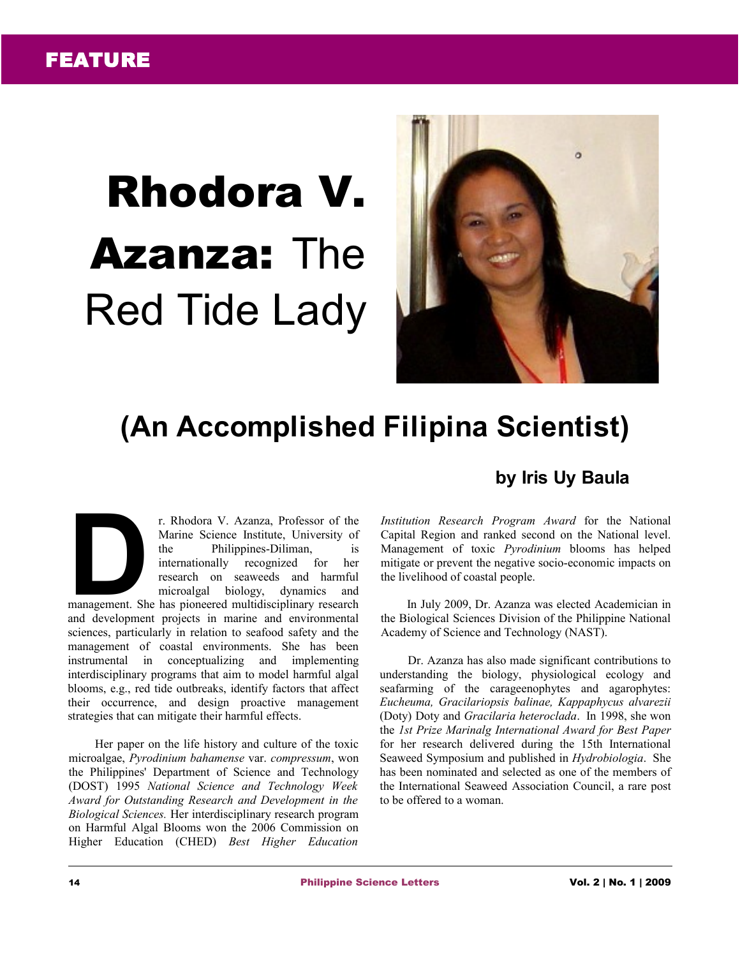## Rhodora V. **Azanza: The** Red Tide Lady



## **(An Accomplished Filipina Scientist)**

## **by Iris Uy Baula**

r. Rhodora V. Azanza, Professor of the Marine Science Institute, University of the Philippines-Diliman, is internationally recognized for her research on seaweeds and harmful microalgal biology, dynamics and r. Rhodora V. Azanza, Professor of the<br>
Marine Science Institute, University of<br>
the Philippines-Diliman, is<br>
internationally recognized for her<br>
research on seaweeds and harmful<br>
microalgal biology, dynamics and<br>
manageme

and development projects in marine and environmental sciences, particularly in relation to seafood safety and the management of coastal environments. She has been instrumental in conceptualizing and implementing interdisciplinary programs that aim to model harmful algal blooms, e.g., red tide outbreaks, identify factors that affect their occurrence, and design proactive management strategies that can mitigate their harmful effects.

Her paper on the life history and culture of the toxic microalgae, *Pyrodinium bahamense* var. *compressum*, won the Philippines' Department of Science and Technology (DOST) 1995 *National Science and Technology Week Award for Outstanding Research and Development in the Biological Sciences.* Her interdisciplinary research program on Harmful Algal Blooms won the 2006 Commission on Higher Education (CHED) *Best Higher Education*

*Institution Research Program Award* for the National Capital Region and ranked second on the National level. Management of toxic *Pyrodinium* blooms has helped mitigate or prevent the negative socio-economic impacts on the livelihood of coastal people.

In July 2009, Dr. Azanza was elected Academician in the Biological Sciences Division of the Philippine National Academy of Science and Technology (NAST).

Dr. Azanza has also made significant contributions to understanding the biology, physiological ecology and seafarming of the carageenophytes and agarophytes: *Eucheuma, Gracilariopsis balinae, Kappaphycus alvarezii* (Doty) Doty and *Gracilaria heteroclada*. In 1998, she won the *1st Prize Marinalg International Award for Best Paper* for her research delivered during the 15th International Seaweed Symposium and published in *Hydrobiologia*. She has been nominated and selected as one of the members of the International Seaweed Association Council, a rare post to be offered to a woman.